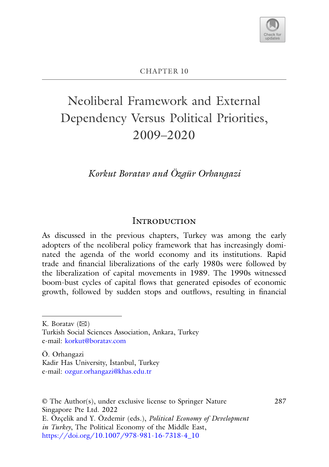

# Neoliberal Framework and External Dependency Versus Political Priorities, 2009–2020

*Korkut Boratav and Özgür Orhangazi*

## **INTRODUCTION**

As discussed in the previous chapters, Turkey was among the early adopters of the neoliberal policy framework that has increasingly dominated the agenda of the world economy and its institutions. Rapid trade and financial liberalizations of the early 1980s were followed by the liberalization of capital movements in 1989. The 1990s witnessed boom-bust cycles of capital flows that generated episodes of economic growth, followed by sudden stops and outflows, resulting in financial

K. Boratav  $(\boxtimes)$ 

Turkish Social Sciences Association, Ankara, Turkey e-mail: [korkut@boratav.com](mailto:korkut@boratav.com)

Ö. Orhangazi Kadir Has University, İstanbul, Turkey e-mail: [ozgur.orhangazi@khas.edu.tr](mailto:ozgur.orhangazi@khas.edu.tr)

© The Author(s), under exclusive license to Springer Nature Singapore Pte Ltd. 2022 E. Özçelik and Y. Özdemir (eds.), *Political Economy of Development in Turkey*, The Political Economy of the Middle East, [https://doi.org/10.1007/978-981-16-7318-4\\_10](https://doi.org/10.1007/978-981-16-7318-4_10)

287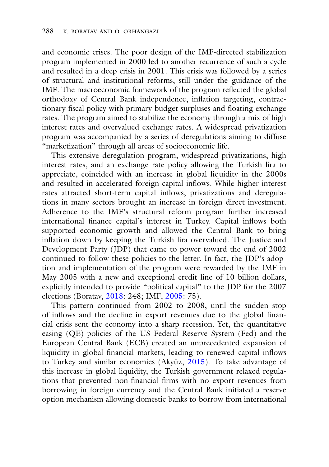and economic crises. The poor design of the IMF-directed stabilization program implemented in 2000 led to another recurrence of such a cycle and resulted in a deep crisis in 2001. This crisis was followed by a series of structural and institutional reforms, still under the guidance of the IMF. The macroeconomic framework of the program reflected the global orthodoxy of Central Bank independence, inflation targeting, contractionary fiscal policy with primary budget surpluses and floating exchange rates. The program aimed to stabilize the economy through a mix of high interest rates and overvalued exchange rates. A widespread privatization program was accompanied by a series of deregulations aiming to diffuse "marketization" through all areas of socioeconomic life.

This extensive deregulation program, widespread privatizations, high interest rates, and an exchange rate policy allowing the Turkish lira to appreciate, coincided with an increase in global liquidity in the 2000s and resulted in accelerated foreign-capital inflows. While higher interest rates attracted short-term capital inflows, privatizations and deregulations in many sectors brought an increase in foreign direct investment. Adherence to the IMF's structural reform program further increased international finance capital's interest in Turkey. Capital inflows both supported economic growth and allowed the Central Bank to bring inflation down by keeping the Turkish lira overvalued. The Justice and Development Party (JDP) that came to power toward the end of 2002 continued to follow these policies to the letter. In fact, the JDP's adoption and implementation of the program were rewarded by the IMF in May 2005 with a new and exceptional credit line of 10 billion dollars, explicitly intended to provide "political capital" to the JDP for the 2007 elections (Boratav, [2018:](#page-26-0) 248; IMF, [2005:](#page-26-1) 75).

This pattern continued from 2002 to 2008, until the sudden stop of inflows and the decline in export revenues due to the global financial crisis sent the economy into a sharp recession. Yet, the quantitative easing (QE) policies of the US Federal Reserve System (Fed) and the European Central Bank (ECB) created an unprecedented expansion of liquidity in global financial markets, leading to renewed capital inflows to Turkey and similar economies (Akyüz, [2015\)](#page-25-0). To take advantage of this increase in global liquidity, the Turkish government relaxed regulations that prevented non-financial firms with no export revenues from borrowing in foreign currency and the Central Bank initiated a reserve option mechanism allowing domestic banks to borrow from international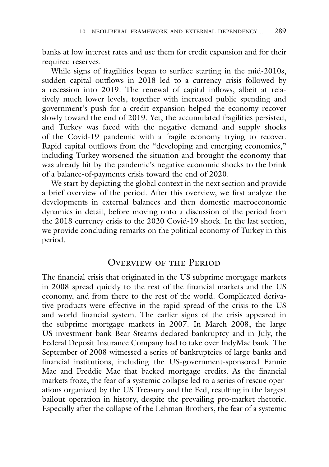banks at low interest rates and use them for credit expansion and for their required reserves.

While signs of fragilities began to surface starting in the mid-2010s, sudden capital outflows in 2018 led to a currency crisis followed by a recession into 2019. The renewal of capital inflows, albeit at relatively much lower levels, together with increased public spending and government's push for a credit expansion helped the economy recover slowly toward the end of 2019. Yet, the accumulated fragilities persisted, and Turkey was faced with the negative demand and supply shocks of the Covid-19 pandemic with a fragile economy trying to recover. Rapid capital outflows from the "developing and emerging economies," including Turkey worsened the situation and brought the economy that was already hit by the pandemic's negative economic shocks to the brink of a balance-of-payments crisis toward the end of 2020.

We start by depicting the global context in the next section and provide a brief overview of the period. After this overview, we first analyze the developments in external balances and then domestic macroeconomic dynamics in detail, before moving onto a discussion of the period from the 2018 currency crisis to the 2020 Covid-19 shock. In the last section, we provide concluding remarks on the political economy of Turkey in this period.

### Overview of the Period

The financial crisis that originated in the US subprime mortgage markets in 2008 spread quickly to the rest of the financial markets and the US economy, and from there to the rest of the world. Complicated derivative products were effective in the rapid spread of the crisis to the US and world financial system. The earlier signs of the crisis appeared in the subprime mortgage markets in 2007. In March 2008, the large US investment bank Bear Stearns declared bankruptcy and in July, the Federal Deposit Insurance Company had to take over IndyMac bank. The September of 2008 witnessed a series of bankruptcies of large banks and financial institutions, including the US-government-sponsored Fannie Mae and Freddie Mac that backed mortgage credits. As the financial markets froze, the fear of a systemic collapse led to a series of rescue operations organized by the US Treasury and the Fed, resulting in the largest bailout operation in history, despite the prevailing pro-market rhetoric. Especially after the collapse of the Lehman Brothers, the fear of a systemic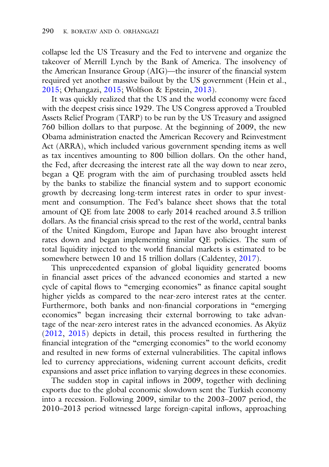collapse led the US Treasury and the Fed to intervene and organize the takeover of Merrill Lynch by the Bank of America. The insolvency of the American Insurance Group (AIG)—the insurer of the financial system required yet another massive bailout by the US government (Hein et al., [2015;](#page-26-2) Orhangazi, [2015;](#page-27-0) Wolfson & Epstein, [2013\)](#page-27-1).

It was quickly realized that the US and the world economy were faced with the deepest crisis since 1929. The US Congress approved a Troubled Assets Relief Program (TARP) to be run by the US Treasury and assigned 760 billion dollars to that purpose. At the beginning of 2009, the new Obama administration enacted the American Recovery and Reinvestment Act (ARRA), which included various government spending items as well as tax incentives amounting to 800 billion dollars. On the other hand, the Fed, after decreasing the interest rate all the way down to near zero, began a QE program with the aim of purchasing troubled assets held by the banks to stabilize the financial system and to support economic growth by decreasing long-term interest rates in order to spur investment and consumption. The Fed's balance sheet shows that the total amount of QE from late 2008 to early 2014 reached around 3.5 trillion dollars. As the financial crisis spread to the rest of the world, central banks of the United Kingdom, Europe and Japan have also brought interest rates down and began implementing similar QE policies. The sum of total liquidity injected to the world financial markets is estimated to be somewhere between 10 and 15 trillion dollars (Caldentey, [2017\)](#page-26-3).

This unprecedented expansion of global liquidity generated booms in financial asset prices of the advanced economies and started a new cycle of capital flows to "emerging economies" as finance capital sought higher yields as compared to the near-zero interest rates at the center. Furthermore, both banks and non-financial corporations in "emerging economies" began increasing their external borrowing to take advantage of the near-zero interest rates in the advanced economies. As Akyüz [\(2012,](#page-25-1) [2015\)](#page-25-0) depicts in detail, this process resulted in furthering the financial integration of the "emerging economies" to the world economy and resulted in new forms of external vulnerabilities. The capital inflows led to currency appreciations, widening current account deficits, credit expansions and asset price inflation to varying degrees in these economies.

The sudden stop in capital inflows in 2009, together with declining exports due to the global economic slowdown sent the Turkish economy into a recession. Following 2009, similar to the 2003–2007 period, the 2010–2013 period witnessed large foreign-capital inflows, approaching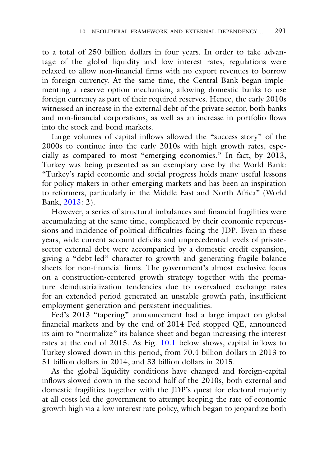to a total of 250 billion dollars in four years. In order to take advantage of the global liquidity and low interest rates, regulations were relaxed to allow non-financial firms with no export revenues to borrow in foreign currency. At the same time, the Central Bank began implementing a reserve option mechanism, allowing domestic banks to use foreign currency as part of their required reserves. Hence, the early 2010s witnessed an increase in the external debt of the private sector, both banks and non-financial corporations, as well as an increase in portfolio flows into the stock and bond markets.

Large volumes of capital inflows allowed the "success story" of the 2000s to continue into the early 2010s with high growth rates, especially as compared to most "emerging economies." In fact, by 2013, Turkey was being presented as an exemplary case by the World Bank: "Turkey's rapid economic and social progress holds many useful lessons for policy makers in other emerging markets and has been an inspiration to reformers, particularly in the Middle East and North Africa" (World Bank, [2013:](#page-27-2) 2).

However, a series of structural imbalances and financial fragilities were accumulating at the same time, complicated by their economic repercussions and incidence of political difficulties facing the JDP. Even in these years, wide current account deficits and unprecedented levels of privatesector external debt were accompanied by a domestic credit expansion, giving a "debt-led" character to growth and generating fragile balance sheets for non-financial firms. The government's almost exclusive focus on a construction-centered growth strategy together with the premature deindustrialization tendencies due to overvalued exchange rates for an extended period generated an unstable growth path, insufficient employment generation and persistent inequalities.

Fed's 2013 "tapering" announcement had a large impact on global financial markets and by the end of 2014 Fed stopped QE, announced its aim to "normalize" its balance sheet and began increasing the interest rates at the end of 2015. As Fig. [10.1](#page-5-0) below shows, capital inflows to Turkey slowed down in this period, from 70.4 billion dollars in 2013 to 51 billion dollars in 2014, and 33 billion dollars in 2015.

As the global liquidity conditions have changed and foreign-capital inflows slowed down in the second half of the 2010s, both external and domestic fragilities together with the JDP's quest for electoral majority at all costs led the government to attempt keeping the rate of economic growth high via a low interest rate policy, which began to jeopardize both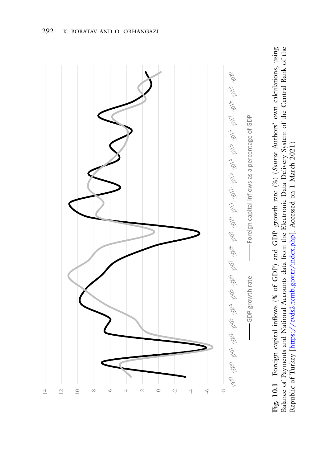<span id="page-5-0"></span>

Fig. 10.1 Foreign capital inflows (% of GDP) and GDP growth rate (%) (Source Authors' own calculations, using Balance of Payments and National Accounts data from the Electronic Data Delivery System of the Central Bank of the **Fig. 10.1** Foreign capital inflows (% of GDP) and GDP growth rate (%) (*Source* Authors' own calculations, using Balance of Payments and National Accounts data from the Electronic Data Delivery System of the Central Bank of the Republic of Turkey [https://evds2.tcmb.gov.tr/index.php]. Accessed on 1 March 2021) Republic of Turkey [[https://evds2.tcmb.gov.tr/index.php\]](https://evds2.tcmb.gov.tr/index.php). Accessed on 1 March 2021)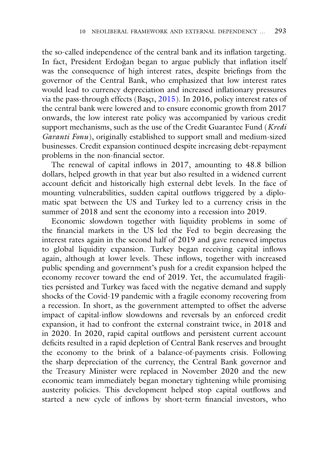the so-called independence of the central bank and its inflation targeting. In fact, President Erdoğan began to argue publicly that inflation itself was the consequence of high interest rates, despite briefings from the governor of the Central Bank, who emphasized that low interest rates would lead to currency depreciation and increased inflationary pressures via the pass-through effects (Başçı, [2015\)](#page-25-2). In 2016, policy interest rates of the central bank were lowered and to ensure economic growth from 2017 onwards, the low interest rate policy was accompanied by various credit support mechanisms, such as the use of the Credit Guarantee Fund (*Kredi Garanti Fonu*), originally established to support small and medium-sized businesses. Credit expansion continued despite increasing debt-repayment problems in the non-financial sector.

The renewal of capital inflows in 2017, amounting to 48.8 billion dollars, helped growth in that year but also resulted in a widened current account deficit and historically high external debt levels. In the face of mounting vulnerabilities, sudden capital outflows triggered by a diplomatic spat between the US and Turkey led to a currency crisis in the summer of 2018 and sent the economy into a recession into 2019.

Economic slowdown together with liquidity problems in some of the financial markets in the US led the Fed to begin decreasing the interest rates again in the second half of 2019 and gave renewed impetus to global liquidity expansion. Turkey began receiving capital inflows again, although at lower levels. These inflows, together with increased public spending and government's push for a credit expansion helped the economy recover toward the end of 2019. Yet, the accumulated fragilities persisted and Turkey was faced with the negative demand and supply shocks of the Covid-19 pandemic with a fragile economy recovering from a recession. In short, as the government attempted to offset the adverse impact of capital-inflow slowdowns and reversals by an enforced credit expansion, it had to confront the external constraint twice, in 2018 and in 2020. In 2020, rapid capital outflows and persistent current account deficits resulted in a rapid depletion of Central Bank reserves and brought the economy to the brink of a balance-of-payments crisis. Following the sharp depreciation of the currency, the Central Bank governor and the Treasury Minister were replaced in November 2020 and the new economic team immediately began monetary tightening while promising austerity policies. This development helped stop capital outflows and started a new cycle of inflows by short-term financial investors, who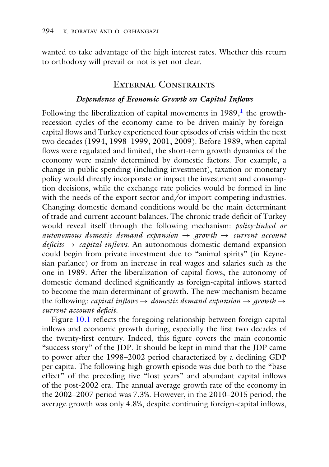wanted to take advantage of the high interest rates. Whether this return to orthodoxy will prevail or not is yet not clear.

# External Constraints

## *Dependence of Economic Growth on Capital Inflows*

Following the liberalization of capital movements in  $1989$  $1989$ , the growthrecession cycles of the economy came to be driven mainly by foreigncapital flows and Turkey experienced four episodes of crisis within the next two decades (1994, 1998–1999, 2001, 2009). Before 1989, when capital flows were regulated and limited, the short-term growth dynamics of the economy were mainly determined by domestic factors. For example, a change in public spending (including investment), taxation or monetary policy would directly incorporate or impact the investment and consumption decisions, while the exchange rate policies would be formed in line with the needs of the export sector and/or import-competing industries. Changing domestic demand conditions would be the main determinant of trade and current account balances. The chronic trade deficit of Turkey would reveal itself through the following mechanism: *policy-linked or autonomous domestic demand expansion* → *growth* → *current account*  $deficits \rightarrow capital inflows$ . An autonomous domestic demand expansion could begin from private investment due to "animal spirits" (in Keynesian parlance) or from an increase in real wages and salaries such as the one in 1989. After the liberalization of capital flows, the autonomy of domestic demand declined significantly as foreign-capital inflows started to become the main determinant of growth. The new mechanism became the following: *capital inflows*  $\rightarrow$  *domestic demand expansion*  $\rightarrow$  *growth*  $\rightarrow$ *current account deficit.*

Figure [10.1](#page-5-0) reflects the foregoing relationship between foreign-capital inflows and economic growth during, especially the first two decades of the twenty-first century. Indeed, this figure covers the main economic "success story" of the JDP. It should be kept in mind that the JDP came to power after the 1998–2002 period characterized by a declining GDP per capita. The following high-growth episode was due both to the "base effect" of the preceding five "lost years" and abundant capital inflows of the post-2002 era. The annual average growth rate of the economy in the 2002–2007 period was 7.3%. However, in the 2010–2015 period, the average growth was only 4.8%, despite continuing foreign-capital inflows,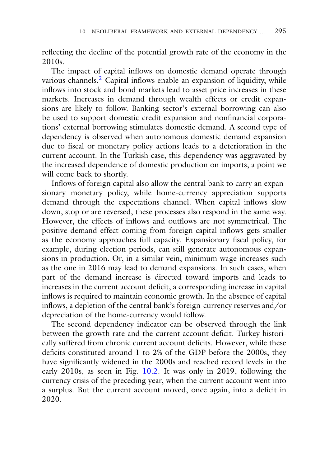reflecting the decline of the potential growth rate of the economy in the 2010s.

The impact of capital inflows on domestic demand operate through various channels.<sup>2</sup> Capital inflows enable an expansion of liquidity, while inflows into stock and bond markets lead to asset price increases in these markets. Increases in demand through wealth effects or credit expansions are likely to follow. Banking sector's external borrowing can also be used to support domestic credit expansion and nonfinancial corporations' external borrowing stimulates domestic demand. A second type of dependency is observed when autonomous domestic demand expansion due to fiscal or monetary policy actions leads to a deterioration in the current account. In the Turkish case, this dependency was aggravated by the increased dependence of domestic production on imports, a point we will come back to shortly.

Inflows of foreign capital also allow the central bank to carry an expansionary monetary policy, while home-currency appreciation supports demand through the expectations channel. When capital inflows slow down, stop or are reversed, these processes also respond in the same way. However, the effects of inflows and outflows are not symmetrical. The positive demand effect coming from foreign-capital inflows gets smaller as the economy approaches full capacity. Expansionary fiscal policy, for example, during election periods, can still generate autonomous expansions in production. Or, in a similar vein, minimum wage increases such as the one in 2016 may lead to demand expansions. In such cases, when part of the demand increase is directed toward imports and leads to increases in the current account deficit, a corresponding increase in capital inflows is required to maintain economic growth. In the absence of capital inflows, a depletion of the central bank's foreign-currency reserves and/or depreciation of the home-currency would follow.

The second dependency indicator can be observed through the link between the growth rate and the current account deficit. Turkey historically suffered from chronic current account deficits. However, while these deficits constituted around 1 to 2% of the GDP before the 2000s, they have significantly widened in the 2000s and reached record levels in the early 2010s, as seen in Fig. [10.2.](#page-9-0) It was only in 2019, following the currency crisis of the preceding year, when the current account went into a surplus. But the current account moved, once again, into a deficit in 2020.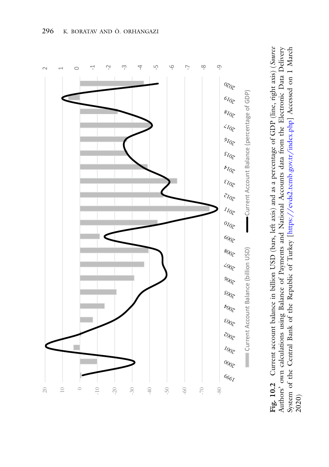<span id="page-9-0"></span>

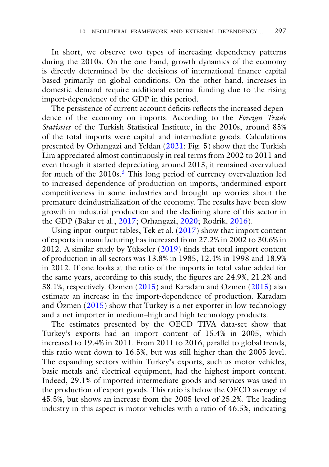In short, we observe two types of increasing dependency patterns during the 2010s. On the one hand, growth dynamics of the economy is directly determined by the decisions of international finance capital based primarily on global conditions. On the other hand, increases in domestic demand require additional external funding due to the rising import-dependency of the GDP in this period.

The persistence of current account deficits reflects the increased dependence of the economy on imports. According to the *Foreign Trade Statistics* of the Turkish Statistical Institute, in the 2010s, around 85% of the total imports were capital and intermediate goods. Calculations presented by Orhangazi and Yeldan [\(2021:](#page-26-4) Fig. 5) show that the Turkish Lira appreciated almost continuously in real terms from 2002 to 2011 and even though it started depreciating around 2013, it remained overvalued for much of the  $2010s<sup>3</sup>$ . This long period of currency overvaluation led to increased dependence of production on imports, undermined export competitiveness in some industries and brought up worries about the premature deindustrialization of the economy. The results have been slow growth in industrial production and the declining share of this sector in the GDP (Bakır et al., [2017;](#page-25-3) Orhangazi, [2020;](#page-26-5) Rodrik, [2016\)](#page-27-3).

Using input–output tables, Tek et al. [\(2017\)](#page-27-4) show that import content of exports in manufacturing has increased from 27.2% in 2002 to 30.6% in 2012. A similar study by Yükseler [\(2019\)](#page-27-5) finds that total import content of production in all sectors was 13.8% in 1985, 12.4% in 1998 and 18.9% in 2012. If one looks at the ratio of the imports in total value added for the same years, according to this study, the figures are 24.9%, 21.2% and 38.1%, respectively. Özmen [\(2015\)](#page-27-6) and Karadam and Özmen [\(2015\)](#page-26-6) also estimate an increase in the import-dependence of production. Karadam and Özmen  $(2015)$  show that Turkey is a net exporter in low-technology and a net importer in medium–high and high technology products.

The estimates presented by the OECD TIVA data-set show that Turkey's exports had an import content of 15.4% in 2005, which increased to 19.4% in 2011. From 2011 to 2016, parallel to global trends, this ratio went down to 16.5%, but was still higher than the 2005 level. The expanding sectors within Turkey's exports, such as motor vehicles, basic metals and electrical equipment, had the highest import content. Indeed, 29.1% of imported intermediate goods and services was used in the production of export goods. This ratio is below the OECD average of 45.5%, but shows an increase from the 2005 level of 25.2%. The leading industry in this aspect is motor vehicles with a ratio of 46.5%, indicating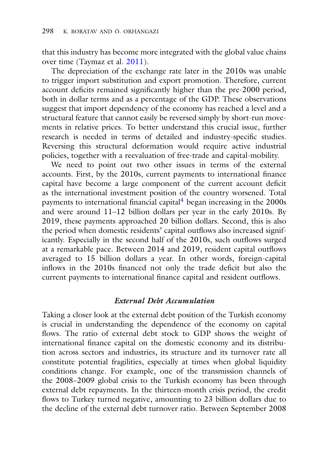that this industry has become more integrated with the global value chains over time (Taymaz et al. [2011\)](#page-27-7).

The depreciation of the exchange rate later in the 2010s was unable to trigger import substitution and export promotion. Therefore, current account deficits remained significantly higher than the pre-2000 period, both in dollar terms and as a percentage of the GDP. These observations suggest that import dependency of the economy has reached a level and a structural feature that cannot easily be reversed simply by short-run movements in relative prices. To better understand this crucial issue, further research is needed in terms of detailed and industry-specific studies. Reversing this structural deformation would require active industrial policies, together with a reevaluation of free-trade and capital-mobility.

We need to point out two other issues in terms of the external accounts. First, by the 2010s, current payments to international finance capital have become a large component of the current account deficit as the international investment position of the country worsened. Total payments to international financial capital $4$  began increasing in the 2000s and were around 11–12 billion dollars per year in the early 2010s. By 2019, these payments approached 20 billion dollars. Second, this is also the period when domestic residents' capital outflows also increased significantly. Especially in the second half of the 2010s, such outflows surged at a remarkable pace. Between 2014 and 2019, resident capital outflows averaged to 15 billion dollars a year. In other words, foreign-capital inflows in the 2010s financed not only the trade deficit but also the current payments to international finance capital and resident outflows.

#### *External Debt Accumulation*

Taking a closer look at the external debt position of the Turkish economy is crucial in understanding the dependence of the economy on capital flows. The ratio of external debt stock to GDP shows the weight of international finance capital on the domestic economy and its distribution across sectors and industries, its structure and its turnover rate all constitute potential fragilities, especially at times when global liquidity conditions change. For example, one of the transmission channels of the 2008–2009 global crisis to the Turkish economy has been through external debt repayments. In the thirteen-month crisis period, the credit flows to Turkey turned negative, amounting to 23 billion dollars due to the decline of the external debt turnover ratio. Between September 2008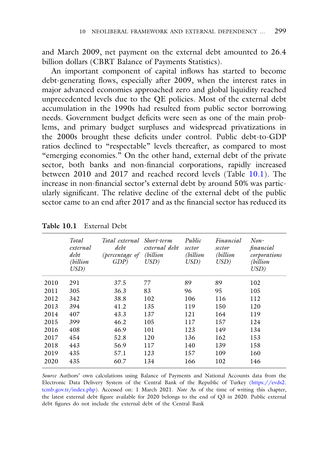and March 2009, net payment on the external debt amounted to 26.4 billion dollars (CBRT Balance of Payments Statistics).

An important component of capital inflows has started to become debt-generating flows, especially after 2009, when the interest rates in major advanced economies approached zero and global liquidity reached unprecedented levels due to the QE policies. Most of the external debt accumulation in the 1990s had resulted from public sector borrowing needs. Government budget deficits were seen as one of the main problems, and primary budget surpluses and widespread privatizations in the 2000s brought these deficits under control. Public debt-to-GDP ratios declined to "respectable" levels thereafter, as compared to most "emerging economies." On the other hand, external debt of the private sector, both banks and non-financial corporations, rapidly increased between 2010 and 2017 and reached record levels (Table [10.1\)](#page-12-0). The increase in non-financial sector's external debt by around 50% was particularly significant. The relative decline of the external debt of the public sector came to an end after 2017 and as the financial sector has reduced its

|      | Total<br>external<br>debt<br>(billion<br>USD) | Total external<br>debt<br>(percentage of<br>$GDP$ ) | Short-term<br>external debt<br>(billion<br>USD) | Public<br>sector<br>(billion<br>USD) | Financial<br>sector<br>(billion<br>USD) | $Non-$<br>financial<br>corporations<br>(billion<br>USD) |
|------|-----------------------------------------------|-----------------------------------------------------|-------------------------------------------------|--------------------------------------|-----------------------------------------|---------------------------------------------------------|
| 2010 | 291                                           | 37.5                                                | 77                                              | 89                                   | 89                                      | 102                                                     |
| 2011 | 305                                           | 36.3                                                | 83                                              | 96                                   | 95                                      | 105                                                     |
| 2012 | 342                                           | 38.8                                                | 102                                             | 106                                  | 116                                     | 112                                                     |
| 2013 | 394                                           | 41.2                                                | 135                                             | 119                                  | 150                                     | 120                                                     |
| 2014 | 407                                           | 43.3                                                | 137                                             | 121                                  | 164                                     | 119                                                     |
| 2015 | 399                                           | 46.2                                                | 105                                             | 117                                  | 157                                     | 124                                                     |
| 2016 | 408                                           | 46.9                                                | 101                                             | 123                                  | 149                                     | 134                                                     |
| 2017 | 454                                           | 52.8                                                | 120                                             | 136                                  | 162                                     | 153                                                     |
| 2018 | 443                                           | 56.9                                                | 117                                             | 140                                  | 139                                     | 158                                                     |
| 2019 | 435                                           | 57.1                                                | 123                                             | 157                                  | 109                                     | 160                                                     |
| 2020 | 435                                           | 60.7                                                | 134                                             | 166                                  | 102                                     | 146                                                     |
|      |                                               |                                                     |                                                 |                                      |                                         |                                                         |

<span id="page-12-0"></span>**Table 10.1** External Debt

*Source* Authors' own calculations using Balance of Payments and National Accounts data from the [Electronic Data Delivery System of the Central Bank of the Republic of Turkey \(https://evds2.](https://evds2.tcmb.gov.tr/index.php) tcmb.gov.tr/index.php). Accessed on: 1 March 2021. *Note* As of the time of writing this chapter, the latest external debt figure available for 2020 belongs to the end of Q3 in 2020. Public external debt figures do not include the external debt of the Central Bank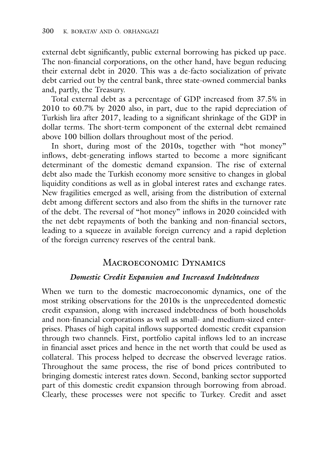external debt significantly, public external borrowing has picked up pace. The non-financial corporations, on the other hand, have begun reducing their external debt in 2020. This was a de-facto socialization of private debt carried out by the central bank, three state-owned commercial banks and, partly, the Treasury.

Total external debt as a percentage of GDP increased from 37.5% in 2010 to 60.7% by 2020 also, in part, due to the rapid depreciation of Turkish lira after 2017, leading to a significant shrinkage of the GDP in dollar terms. The short-term component of the external debt remained above 100 billion dollars throughout most of the period.

In short, during most of the 2010s, together with "hot money" inflows, debt-generating inflows started to become a more significant determinant of the domestic demand expansion. The rise of external debt also made the Turkish economy more sensitive to changes in global liquidity conditions as well as in global interest rates and exchange rates. New fragilities emerged as well, arising from the distribution of external debt among different sectors and also from the shifts in the turnover rate of the debt. The reversal of "hot money" inflows in 2020 coincided with the net debt repayments of both the banking and non-financial sectors, leading to a squeeze in available foreign currency and a rapid depletion of the foreign currency reserves of the central bank.

## Macroeconomic Dynamics

### *Domestic Credit Expansion and Increased Indebtedness*

When we turn to the domestic macroeconomic dynamics, one of the most striking observations for the 2010s is the unprecedented domestic credit expansion, along with increased indebtedness of both households and non-financial corporations as well as small- and medium-sized enterprises. Phases of high capital inflows supported domestic credit expansion through two channels. First, portfolio capital inflows led to an increase in financial asset prices and hence in the net worth that could be used as collateral. This process helped to decrease the observed leverage ratios. Throughout the same process, the rise of bond prices contributed to bringing domestic interest rates down. Second, banking sector supported part of this domestic credit expansion through borrowing from abroad. Clearly, these processes were not specific to Turkey. Credit and asset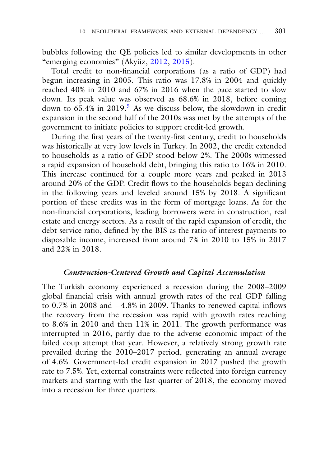bubbles following the QE policies led to similar developments in other "emerging economies" (Akyüz, [2012,](#page-25-1) [2015\)](#page-25-0).

Total credit to non-financial corporations (as a ratio of GDP) had begun increasing in 2005. This ratio was 17.8% in 2004 and quickly reached 40% in 2010 and 67% in 2016 when the pace started to slow down. Its peak value was observed as 68.6% in 2018, before coming down to  $65.4\%$  in 2019.<sup>5</sup> As we discuss below, the slowdown in credit expansion in the second half of the 2010s was met by the attempts of the government to initiate policies to support credit-led growth.

During the first years of the twenty-first century, credit to households was historically at very low levels in Turkey. In 2002, the credit extended to households as a ratio of GDP stood below 2%. The 2000s witnessed a rapid expansion of household debt, bringing this ratio to 16% in 2010. This increase continued for a couple more years and peaked in 2013 around 20% of the GDP. Credit flows to the households began declining in the following years and leveled around 15% by 2018. A significant portion of these credits was in the form of mortgage loans. As for the non-financial corporations, leading borrowers were in construction, real estate and energy sectors. As a result of the rapid expansion of credit, the debt service ratio, defined by the BIS as the ratio of interest payments to disposable income, increased from around 7% in 2010 to 15% in 2017 and 22% in 2018.

## *Construction-Centered Growth and Capital Accumulation*

The Turkish economy experienced a recession during the 2008–2009 global financial crisis with annual growth rates of the real GDP falling to 0.7% in 2008 and −4.8% in 2009. Thanks to renewed capital inflows the recovery from the recession was rapid with growth rates reaching to 8.6% in 2010 and then 11% in 2011. The growth performance was interrupted in 2016, partly due to the adverse economic impact of the failed coup attempt that year. However, a relatively strong growth rate prevailed during the 2010–2017 period, generating an annual average of 4.6%. Government-led credit expansion in 2017 pushed the growth rate to 7.5%. Yet, external constraints were reflected into foreign currency markets and starting with the last quarter of 2018, the economy moved into a recession for three quarters.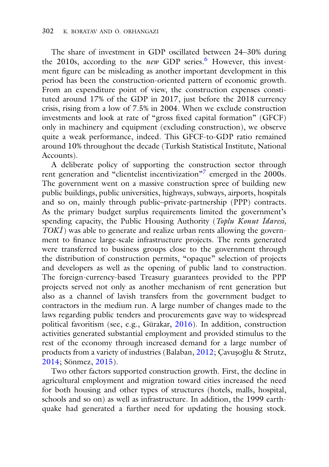The share of investment in GDP oscillated between 24–30% during the 2010s, according to the *new* GDP series.<sup>6</sup> However, this investment figure can be misleading as another important development in this period has been the construction-oriented pattern of economic growth. From an expenditure point of view, the construction expenses constituted around 17% of the GDP in 2017, just before the 2018 currency crisis, rising from a low of 7.5% in 2004. When we exclude construction investments and look at rate of "gross fixed capital formation" (GFCF) only in machinery and equipment (excluding construction), we observe quite a weak performance, indeed. This GFCF-to-GDP ratio remained around 10% throughout the decade (Turkish Statistical Institute, National Accounts).

A deliberate policy of supporting the construction sector through rent generation and "clientelist incentivization"[7](#page-24-0) emerged in the 2000s. The government went on a massive construction spree of building new public buildings, public universities, highways, subways, airports, hospitals and so on, mainly through public–private-partnership (PPP) contracts. As the primary budget surplus requirements limited the government's spending capacity, the Public Housing Authority (*Toplu Konut ˙ Idaresi, TOKİ*) was able to generate and realize urban rents allowing the government to finance large-scale infrastructure projects. The rents generated were transferred to business groups close to the government through the distribution of construction permits, "opaque" selection of projects and developers as well as the opening of public land to construction. The foreign-currency-based Treasury guarantees provided to the PPP projects served not only as another mechanism of rent generation but also as a channel of lavish transfers from the government budget to contractors in the medium run. A large number of changes made to the laws regarding public tenders and procurements gave way to widespread political favoritism (see, e.g., Gürakar, [2016\)](#page-26-7). In addition, construction activities generated substantial employment and provided stimulus to the rest of the economy through increased demand for a large number of products from a variety of industries (Balaban, [2012;](#page-25-4) Çavuşoğlu & Strutz, [2014;](#page-26-8) Sönmez, [2015\)](#page-27-8).

Two other factors supported construction growth. First, the decline in agricultural employment and migration toward cities increased the need for both housing and other types of structures (hotels, malls, hospital, schools and so on) as well as infrastructure. In addition, the 1999 earthquake had generated a further need for updating the housing stock.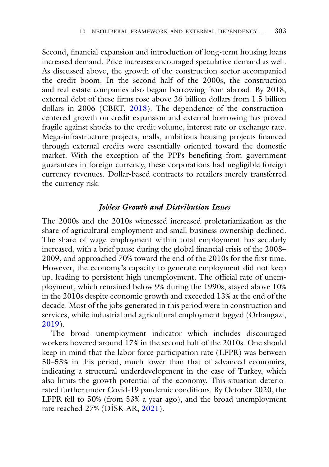Second, financial expansion and introduction of long-term housing loans increased demand. Price increases encouraged speculative demand as well. As discussed above, the growth of the construction sector accompanied the credit boom. In the second half of the 2000s, the construction and real estate companies also began borrowing from abroad. By 2018, external debt of these firms rose above 26 billion dollars from 1.5 billion dollars in 2006 (CBRT, [2018\)](#page-26-9). The dependence of the constructioncentered growth on credit expansion and external borrowing has proved fragile against shocks to the credit volume, interest rate or exchange rate. Mega-infrastructure projects, malls, ambitious housing projects financed through external credits were essentially oriented toward the domestic market. With the exception of the PPPs benefiting from government guarantees in foreign currency, these corporations had negligible foreign currency revenues. Dollar-based contracts to retailers merely transferred the currency risk.

#### *Jobless Growth and Distribution Issues*

The 2000s and the 2010s witnessed increased proletarianization as the share of agricultural employment and small business ownership declined. The share of wage employment within total employment has secularly increased, with a brief pause during the global financial crisis of the 2008– 2009, and approached 70% toward the end of the 2010s for the first time. However, the economy's capacity to generate employment did not keep up, leading to persistent high unemployment. The official rate of unemployment, which remained below 9% during the 1990s, stayed above 10% in the 2010s despite economic growth and exceeded 13% at the end of the decade. Most of the jobs generated in this period were in construction and services, while industrial and agricultural employment lagged (Orhangazi, [2019\)](#page-26-10).

The broad unemployment indicator which includes discouraged workers hovered around 17% in the second half of the 2010s. One should keep in mind that the labor force participation rate (LFPR) was between 50–53% in this period, much lower than that of advanced economies, indicating a structural underdevelopment in the case of Turkey, which also limits the growth potential of the economy. This situation deteriorated further under Covid-19 pandemic conditions. By October 2020, the LFPR fell to 50% (from 53% a year ago), and the broad unemployment rate reached 27% (DİSK-AR, [2021\)](#page-26-11).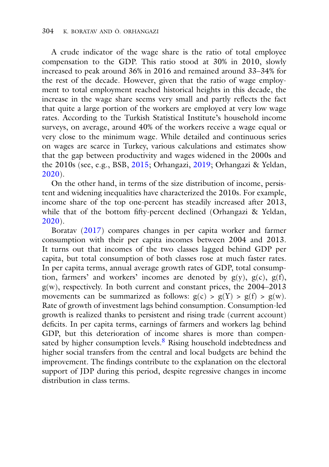A crude indicator of the wage share is the ratio of total employee compensation to the GDP. This ratio stood at 30% in 2010, slowly increased to peak around 36% in 2016 and remained around 33–34% for the rest of the decade. However, given that the ratio of wage employment to total employment reached historical heights in this decade, the increase in the wage share seems very small and partly reflects the fact that quite a large portion of the workers are employed at very low wage rates. According to the Turkish Statistical Institute's household income surveys, on average, around 40% of the workers receive a wage equal or very close to the minimum wage. While detailed and continuous series on wages are scarce in Turkey, various calculations and estimates show that the gap between productivity and wages widened in the 2000s and the 2010s (see, e.g., BSB, [2015;](#page-25-5) Orhangazi, [2019;](#page-26-10) Orhangazi & Yeldan, [2020\)](#page-26-5).

On the other hand, in terms of the size distribution of income, persistent and widening inequalities have characterized the 2010s. For example, income share of the top one-percent has steadily increased after 2013, while that of the bottom fifty-percent declined (Orhangazi & Yeldan, [2020\)](#page-26-5).

Boratav [\(2017\)](#page-26-12) compares changes in per capita worker and farmer consumption with their per capita incomes between 2004 and 2013. It turns out that incomes of the two classes lagged behind GDP per capita, but total consumption of both classes rose at much faster rates. In per capita terms, annual average growth rates of GDP, total consumption, farmers' and workers' incomes are denoted by  $g(y)$ ,  $g(c)$ ,  $g(f)$ , g(w), respectively. In both current and constant prices, the 2004–2013 movements can be summarized as follows:  $g(c) > g(Y) > g(f) > g(w)$ . Rate of growth of investment lags behind consumption. Consumption-led growth is realized thanks to persistent and rising trade (current account) deficits. In per capita terms, earnings of farmers and workers lag behind GDP, but this deterioration of income shares is more than compensated by higher consumption levels. $\frac{8}{3}$  Rising household indebtedness and higher social transfers from the central and local budgets are behind the improvement. The findings contribute to the explanation on the electoral support of IDP during this period, despite regressive changes in income distribution in class terms.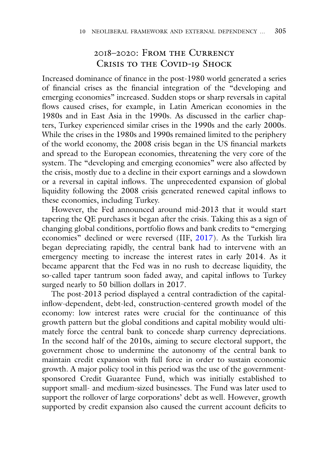# 2018–2020: From the Currency Crisis to the Covid-19 Shock

Increased dominance of finance in the post-1980 world generated a series of financial crises as the financial integration of the "developing and emerging economies" increased. Sudden stops or sharp reversals in capital flows caused crises, for example, in Latin American economies in the 1980s and in East Asia in the 1990s. As discussed in the earlier chapters, Turkey experienced similar crises in the 1990s and the early 2000s. While the crises in the 1980s and 1990s remained limited to the periphery of the world economy, the 2008 crisis began in the US financial markets and spread to the European economies, threatening the very core of the system. The "developing and emerging economies" were also affected by the crisis, mostly due to a decline in their export earnings and a slowdown or a reversal in capital inflows. The unprecedented expansion of global liquidity following the 2008 crisis generated renewed capital inflows to these economies, including Turkey.

However, the Fed announced around mid-2013 that it would start tapering the QE purchases it began after the crisis. Taking this as a sign of changing global conditions, portfolio flows and bank credits to "emerging economies" declined or were reversed (IIF, [2017\)](#page-26-13). As the Turkish lira began depreciating rapidly, the central bank had to intervene with an emergency meeting to increase the interest rates in early 2014. As it became apparent that the Fed was in no rush to decrease liquidity, the so-called taper tantrum soon faded away, and capital inflows to Turkey surged nearly to 50 billion dollars in 2017.

The post-2013 period displayed a central contradiction of the capitalinflow-dependent, debt-led, construction-centered growth model of the economy: low interest rates were crucial for the continuance of this growth pattern but the global conditions and capital mobility would ultimately force the central bank to concede sharp currency depreciations. In the second half of the 2010s, aiming to secure electoral support, the government chose to undermine the autonomy of the central bank to maintain credit expansion with full force in order to sustain economic growth. A major policy tool in this period was the use of the governmentsponsored Credit Guarantee Fund, which was initially established to support small- and medium-sized businesses. The Fund was later used to support the rollover of large corporations' debt as well. However, growth supported by credit expansion also caused the current account deficits to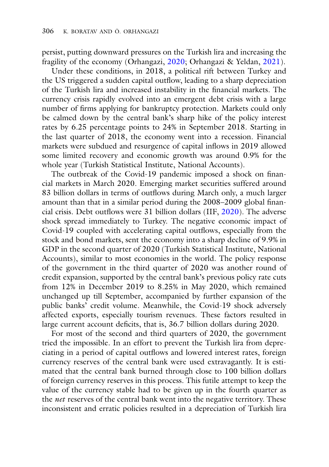persist, putting downward pressures on the Turkish lira and increasing the fragility of the economy (Orhangazi, [2020;](#page-26-5) Orhangazi & Yeldan, [2021\)](#page-26-4).

Under these conditions, in 2018, a political rift between Turkey and the US triggered a sudden capital outflow, leading to a sharp depreciation of the Turkish lira and increased instability in the financial markets. The currency crisis rapidly evolved into an emergent debt crisis with a large number of firms applying for bankruptcy protection. Markets could only be calmed down by the central bank's sharp hike of the policy interest rates by 6.25 percentage points to 24% in September 2018. Starting in the last quarter of 2018, the economy went into a recession. Financial markets were subdued and resurgence of capital inflows in 2019 allowed some limited recovery and economic growth was around 0.9% for the whole year (Turkish Statistical Institute, National Accounts).

The outbreak of the Covid-19 pandemic imposed a shock on financial markets in March 2020. Emerging market securities suffered around 83 billion dollars in terms of outflows during March only, a much larger amount than that in a similar period during the 2008–2009 global financial crisis. Debt outflows were 31 billion dollars (IIF, [2020\)](#page-26-14). The adverse shock spread immediately to Turkey. The negative economic impact of Covid-19 coupled with accelerating capital outflows, especially from the stock and bond markets, sent the economy into a sharp decline of 9.9% in GDP in the second quarter of 2020 (Turkish Statistical Institute, National Accounts), similar to most economies in the world. The policy response of the government in the third quarter of 2020 was another round of credit expansion, supported by the central bank's previous policy rate cuts from 12% in December 2019 to 8.25% in May 2020, which remained unchanged up till September, accompanied by further expansion of the public banks' credit volume. Meanwhile, the Covid-19 shock adversely affected exports, especially tourism revenues. These factors resulted in large current account deficits, that is, 36.7 billion dollars during 2020.

For most of the second and third quarters of 2020, the government tried the impossible. In an effort to prevent the Turkish lira from depreciating in a period of capital outflows and lowered interest rates, foreign currency reserves of the central bank were used extravagantly. It is estimated that the central bank burned through close to 100 billion dollars of foreign currency reserves in this process. This futile attempt to keep the value of the currency stable had to be given up in the fourth quarter as the *net* reserves of the central bank went into the negative territory. These inconsistent and erratic policies resulted in a depreciation of Turkish lira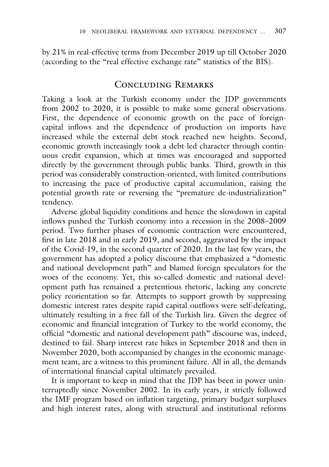by 21% in real-effective terms from December 2019 up till October 2020 (according to the "real effective exchange rate" statistics of the BIS).

## CONCLUDING REMARKS

Taking a look at the Turkish economy under the JDP governments from 2002 to 2020, it is possible to make some general observations. First, the dependence of economic growth on the pace of foreigncapital inflows and the dependence of production on imports have increased while the external debt stock reached new heights. Second, economic growth increasingly took a debt-led character through continuous credit expansion, which at times was encouraged and supported directly by the government through public banks. Third, growth in this period was considerably construction-oriented, with limited contributions to increasing the pace of productive capital accumulation, raising the potential growth rate or reversing the "premature de-industrialization" tendency.

Adverse global liquidity conditions and hence the slowdown in capital inflows pushed the Turkish economy into a recession in the 2008–2009 period. Two further phases of economic contraction were encountered, first in late 2018 and in early 2019, and second, aggravated by the impact of the Covid-19, in the second quarter of 2020. In the last few years, the government has adopted a policy discourse that emphasized a "domestic and national development path" and blamed foreign speculators for the woes of the economy. Yet, this so-called domestic and national development path has remained a pretentious rhetoric, lacking any concrete policy reorientation so far. Attempts to support growth by suppressing domestic interest rates despite rapid capital outflows were self-defeating, ultimately resulting in a free fall of the Turkish lira. Given the degree of economic and financial integration of Turkey to the world economy, the official "domestic and national development path" discourse was, indeed, destined to fail. Sharp interest rate hikes in September 2018 and then in November 2020, both accompanied by changes in the economic management team, are a witness to this prominent failure. All in all, the demands of international financial capital ultimately prevailed.

It is important to keep in mind that the JDP has been in power uninterruptedly since November 2002. In its early years, it strictly followed the IMF program based on inflation targeting, primary budget surpluses and high interest rates, along with structural and institutional reforms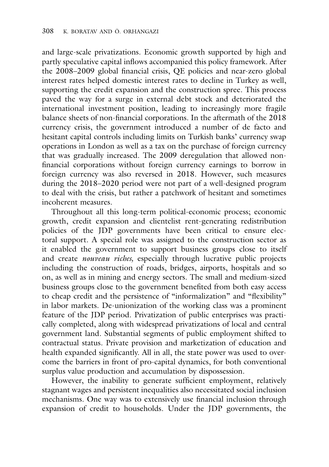and large-scale privatizations. Economic growth supported by high and partly speculative capital inflows accompanied this policy framework. After the 2008–2009 global financial crisis, QE policies and near-zero global interest rates helped domestic interest rates to decline in Turkey as well, supporting the credit expansion and the construction spree. This process paved the way for a surge in external debt stock and deteriorated the international investment position, leading to increasingly more fragile balance sheets of non-financial corporations. In the aftermath of the 2018 currency crisis, the government introduced a number of de facto and hesitant capital controls including limits on Turkish banks' currency swap operations in London as well as a tax on the purchase of foreign currency that was gradually increased. The 2009 deregulation that allowed nonfinancial corporations without foreign currency earnings to borrow in foreign currency was also reversed in 2018. However, such measures during the 2018–2020 period were not part of a well-designed program to deal with the crisis, but rather a patchwork of hesitant and sometimes incoherent measures.

Throughout all this long-term political-economic process; economic growth, credit expansion and clientelist rent-generating redistribution policies of the JDP governments have been critical to ensure electoral support. A special role was assigned to the construction sector as it enabled the government to support business groups close to itself and create *nouveau riches,* especially through lucrative public projects including the construction of roads, bridges, airports, hospitals and so on, as well as in mining and energy sectors. The small and medium-sized business groups close to the government benefited from both easy access to cheap credit and the persistence of "informalization" and "flexibility" in labor markets. De-unionization of the working class was a prominent feature of the JDP period. Privatization of public enterprises was practically completed, along with widespread privatizations of local and central government land. Substantial segments of public employment shifted to contractual status. Private provision and marketization of education and health expanded significantly. All in all, the state power was used to overcome the barriers in front of pro-capital dynamics, for both conventional surplus value production and accumulation by dispossession.

However, the inability to generate sufficient employment, relatively stagnant wages and persistent inequalities also necessitated social inclusion mechanisms. One way was to extensively use financial inclusion through expansion of credit to households. Under the JDP governments, the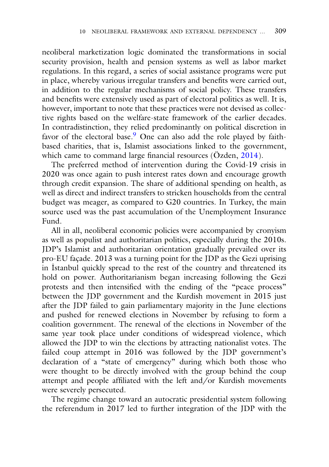neoliberal marketization logic dominated the transformations in social security provision, health and pension systems as well as labor market regulations. In this regard, a series of social assistance programs were put in place, whereby various irregular transfers and benefits were carried out, in addition to the regular mechanisms of social policy. These transfers and benefits were extensively used as part of electoral politics as well. It is, however, important to note that these practices were not devised as collective rights based on the welfare-state framework of the earlier decades. In contradistinction, they relied predominantly on political discretion in favor of the electoral base.<sup>[9](#page-24-0)</sup> One can also add the role played by faithbased charities, that is, Islamist associations linked to the government, which came to command large financial resources (Özden, [2014\)](#page-27-9).

The preferred method of intervention during the Covid-19 crisis in 2020 was once again to push interest rates down and encourage growth through credit expansion. The share of additional spending on health, as well as direct and indirect transfers to stricken households from the central budget was meager, as compared to G20 countries. In Turkey, the main source used was the past accumulation of the Unemployment Insurance Fund.

All in all, neoliberal economic policies were accompanied by cronyism as well as populist and authoritarian politics, especially during the 2010s. JDP's Islamist and authoritarian orientation gradually prevailed over its pro-EU façade. 2013 was a turning point for the JDP as the Gezi uprising in İstanbul quickly spread to the rest of the country and threatened its hold on power. Authoritarianism began increasing following the Gezi protests and then intensified with the ending of the "peace process" between the JDP government and the Kurdish movement in 2015 just after the JDP failed to gain parliamentary majority in the June elections and pushed for renewed elections in November by refusing to form a coalition government. The renewal of the elections in November of the same year took place under conditions of widespread violence, which allowed the JDP to win the elections by attracting nationalist votes. The failed coup attempt in 2016 was followed by the JDP government's declaration of a "state of emergency" during which both those who were thought to be directly involved with the group behind the coup attempt and people affiliated with the left and/or Kurdish movements were severely persecuted.

The regime change toward an autocratic presidential system following the referendum in 2017 led to further integration of the JDP with the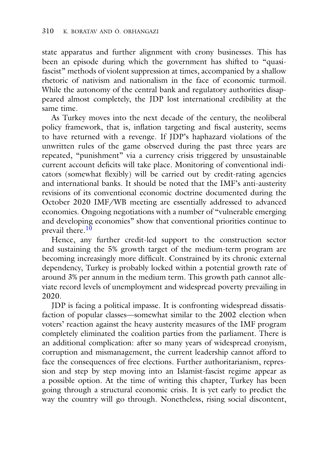state apparatus and further alignment with crony businesses. This has been an episode during which the government has shifted to "quasifascist" methods of violent suppression at times, accompanied by a shallow rhetoric of nativism and nationalism in the face of economic turmoil. While the autonomy of the central bank and regulatory authorities disappeared almost completely, the JDP lost international credibility at the same time.

As Turkey moves into the next decade of the century, the neoliberal policy framework, that is, inflation targeting and fiscal austerity, seems to have returned with a revenge. If JDP's haphazard violations of the unwritten rules of the game observed during the past three years are repeated, "punishment" via a currency crisis triggered by unsustainable current account deficits will take place. Monitoring of conventional indicators (somewhat flexibly) will be carried out by credit-rating agencies and international banks. It should be noted that the IMF's anti-austerity revisions of its conventional economic doctrine documented during the October 2020 IMF/WB meeting are essentially addressed to advanced economies. Ongoing negotiations with a number of "vulnerable emerging and developing economies" show that conventional priorities continue to prevail there.<sup>[10](#page-24-0)</sup>

Hence, any further credit-led support to the construction sector and sustaining the 5% growth target of the medium-term program are becoming increasingly more difficult. Constrained by its chronic external dependency, Turkey is probably locked within a potential growth rate of around 3% per annum in the medium term. This growth path cannot alleviate record levels of unemployment and widespread poverty prevailing in 2020.

JDP is facing a political impasse. It is confronting widespread dissatisfaction of popular classes—somewhat similar to the 2002 election when voters' reaction against the heavy austerity measures of the IMF program completely eliminated the coalition parties from the parliament. There is an additional complication: after so many years of widespread cronyism, corruption and mismanagement, the current leadership cannot afford to face the consequences of free elections. Further authoritarianism, repression and step by step moving into an Islamist-fascist regime appear as a possible option. At the time of writing this chapter, Turkey has been going through a structural economic crisis. It is yet early to predict the way the country will go through. Nonetheless, rising social discontent,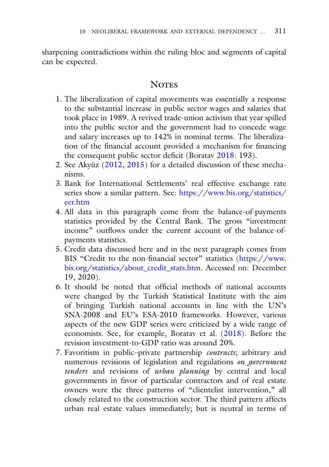sharpening contradictions within the ruling bloc and segments of capital can be expected.

## **NOTES**

- <span id="page-24-0"></span>1. The liberalization of capital movements was essentially a response to the substantial increase in public sector wages and salaries that took place in 1989. A revived trade-union activism that year spilled into the public sector and the government had to concede wage and salary increases up to 142% in nominal terms. The liberalization of the financial account provided a mechanism for financing the consequent public sector deficit (Boratav [2018:](#page-26-0) 193).
- 2. See Akyüz [\(2012,](#page-25-1) [2015\)](#page-25-0) for a detailed discussion of these mechanisms.
- 3. Bank for International Settlements' real effective exchange rate [series show a similar pattern. See:](https://www.bis.org/statistics/eer.htm) https://www.bis.org/statistics/ eer.htm
- 4. All data in this paragraph come from the balance-of-payments statistics provided by the Central Bank. The gross "investment income" outflows under the current account of the balance-ofpayments statistics.
- 5. Credit data discussed here and in the next paragraph comes from [BIS "Credit to the non-financial sector" statistics \(https://www.](https://www.bis.org/statistics/about_credit_stats.htm) bis.org/statistics/about\_credit\_stats.htm. Accessed on: December 19, 2020).
- 6. It should be noted that official methods of national accounts were changed by the Turkish Statistical Institute with the aim of bringing Turkish national accounts in line with the UN's SNA-2008 and EU's ESA-2010 frameworks. However, various aspects of the new GDP series were criticized by a wide range of economists. See, for example, Boratav et al. [\(2018\)](#page-25-6). Before the revision investment-to-GDP ratio was around 20%.
- 7. Favoritism in public–private partnership *contracts*; arbitrary and numerous revisions of legislation and regulations *on government tenders* and revisions of *urban planning* by central and local governments in favor of particular contractors and of real estate owners were the three patterns of "clientelist intervention," all closely related to the construction sector. The third pattern affects urban real estate values immediately; but is neutral in terms of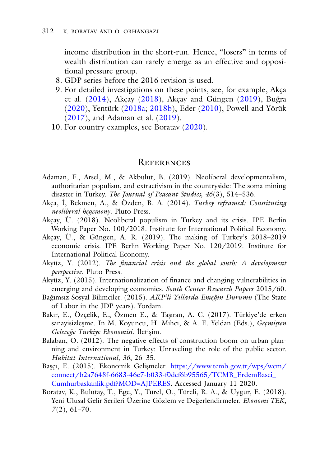income distribution in the short-run. Hence, "losers" in terms of wealth distribution can rarely emerge as an effective and oppositional pressure group.

- 8. GDP series before the 2016 revision is used.
- 9. For detailed investigations on these points, see, for example, Akça et al. [\(2014\)](#page-25-7), Akçay [\(2018\)](#page-25-8), Akçay and Güngen [\(2019\)](#page-25-9), Buğra [\(2020\)](#page-26-15), Yentürk [\(2018a;](#page-27-10) [2018b\)](#page-27-11), Eder [\(2010\)](#page-26-16), Powell and Yörük [\(2017\)](#page-27-12), and Adaman et al. [\(2019\)](#page-25-10).
- 10. For country examples, see Boratav [\(2020\)](#page-26-17).

#### **REFERENCES**

- <span id="page-25-10"></span>Adaman, F., Arsel, M., & Akbulut, B. (2019). Neoliberal developmentalism, authoritarian populism, and extractivism in the countryside: The soma mining disaster in Turkey. *The Journal of Peasant Studies, 46*(3), 514–536.
- <span id="page-25-7"></span>Akça, ˙ I, Bekmen, A., & Özden, B. A. (2014). *Turkey reframed: Constituting neoliberal hegemony*. Pluto Press.
- <span id="page-25-8"></span>Akçay, Ü. (2018). Neoliberal populism in Turkey and its crisis. IPE Berlin Working Paper No. 100/2018. Institute for International Political Economy.
- <span id="page-25-9"></span>Akçay, Ü., & Güngen, A. R. (2019). The making of Turkey's 2018–2019 economic crisis. IPE Berlin Working Paper No. 120/2019. Institute for International Political Economy.
- <span id="page-25-1"></span>Akyüz, Y. (2012). *The financial crisis and the global south: A development perspective*. Pluto Press.
- <span id="page-25-0"></span>Akyüz, Y. (2015). Internationalization of finance and changing vulnerabilities in emerging and developing economies. *South Center Research Papers* 2015/60.
- <span id="page-25-5"></span>Bağımsız Sosyal Bilimciler. (2015). *AKP'li Yıllarda Emeğin Durumu* (The State of Labor in the JDP years). Yordam.
- <span id="page-25-3"></span>Bakır, E., Özçelik, E., Özmen E., & Taşıran, A. C. (2017). Türkiye'de erken sanayisizleşme. In M. Koyuncu, H. Mıhcı, & A. E. Yeldan (Eds.), *Geçmişten* Geleceğe Türkiye Ekonomisi. İletişim.
- <span id="page-25-4"></span>Balaban, O. (2012). The negative effects of construction boom on urban planning and environment in Turkey: Unraveling the role of the public sector. *Habitat International, 36*, 26–35.
- <span id="page-25-2"></span>Başçı, E. (2015). Ekonomik Gelişmeler. https://www.tcmb.gov.tr/wps/wcm/ [connect/b2a7648f-6683-46e7-b033-f0dcf6b95565/TCMB\\_ErdemBasci\\_](https://www.tcmb.gov.tr/wps/wcm/connect/b2a7648f-6683-46e7-b033-f0dcf6b95565/TCMB_ErdemBasci_Cumhurbaskanlik.pdf%3FMOD%3DAJPERES) Cumhurbaskanlik.pdf?MOD=AJPERES. Accessed January 11 2020.
- <span id="page-25-6"></span>Boratav, K., Bulutay, T., Ege, Y., Türel, O., Türeli, R. A., & Uygur, E. (2018). Yeni Ulusal Gelir Serileri Üzerine Gözlem ve De˘gerlendirmeler. *Ekonomi TEK, 7* (2), 61–70.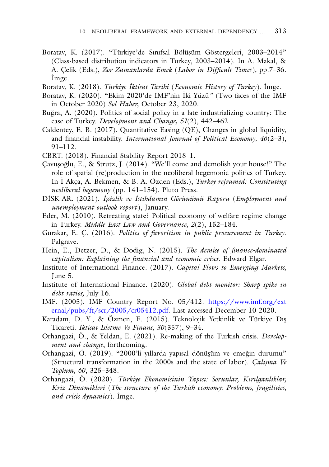- <span id="page-26-12"></span>Boratav, K. (2017). "Türkiye'de Sınıfsal Bölüşüm Göstergeleri, 2003-2014" (Class-based distribution indicators in Turkey, 2003–2014). In A. Makal, & A. Çelik (Eds.), *Zor Zamanlarda Emek* (*Labor in Difficult Times*)*,* pp.7–36. ˙ Imge.
- <span id="page-26-0"></span>Boratav, K. (2018). *Türkiye İktisat Tarihi (Economic History of Turkey).* İmge.
- <span id="page-26-17"></span>Boratav, K. (2020). "Ekim 2020'de IMF'nin İki Yüzü" (Two faces of the IMF in October 2020) *Sol Haber,* October 23, 2020.
- <span id="page-26-15"></span>Buğra, A. (2020). Politics of social policy in a late industrializing country: The case of Turkey. *Development and Change, 51*(2), 442–462.
- <span id="page-26-3"></span>Caldentey, E. B. (2017). Quantitative Easing (QE), Changes in global liquidity, and financial instability. *International Journal of Political Economy, 46*(2–3), 91–112.
- <span id="page-26-9"></span>CBRT. (2018). Financial Stability Report 2018–1.
- <span id="page-26-8"></span>Çavuşoğlu, E., & Strutz, J. (2014). "We'll come and demolish your house!" The role of spatial (re)production in the neoliberal hegemonic politics of Turkey. In ˙ I Akça, A. Bekmen, & B. A. Özden (Eds.), *Turkey reframed: Constituting neoliberal hegemony* (pp. 141–154). Pluto Press.
- <span id="page-26-11"></span>D˙ ISK-AR. (2021). *˙ I¸ssizlik ve ˙ Istihdamın Görünümü Raporu* (*Employment and unemployment outlook report*), January.
- <span id="page-26-16"></span>Eder, M. (2010). Retreating state? Political economy of welfare regime change in Turkey. *Middle East Law and Governance, 2*(2), 152–184.
- <span id="page-26-7"></span>Gürakar, E. Ç. (2016). *Politics of favoritism in public procurement in Turkey*. Palgrave.
- <span id="page-26-2"></span>Hein, E., Detzer, D., & Dodig, N. (2015). *The demise of finance-dominated capitalism: Explaining the financial and economic crises*. Edward Elgar.
- <span id="page-26-13"></span>Institute of International Finance. (2017). *Capital Flows to Emerging Markets,* June 5.
- <span id="page-26-14"></span>Institute of International Finance. (2020). *Global debt monitor: Sharp spike in debt ratios,* July 16.
- <span id="page-26-1"></span>IMF. (2005). IMF Country Report No. 05/412. https://www.imf.org/ext [ernal/pubs/ft/scr/2005/cr05412.pdf. Last accessed December 10 2020.](https://www.imf.org/external/pubs/ft/scr/2005/cr05412.pdf)
- <span id="page-26-6"></span>Karadam, D. Y., & Özmen, E. (2015). Teknolojik Yetkinlik ve Türkiye Dış Ticareti. *Iktisat Isletme Ve Finans, 30*(357), 9–34.
- <span id="page-26-4"></span>Orhangazi, Ö., & Yeldan, E. (2021). Re-making of the Turkish crisis. *Development and change*, forthcoming.
- <span id="page-26-10"></span>Orhangazi, Ö. (2019). "2000'li yıllarda yapısal dönüşüm ve emeğin durumu" (Structural transformation in the 2000s and the state of labor). *Çalışma Ve Toplum, 60*, 325–348.
- <span id="page-26-5"></span>Orhangazi, Ö. (2020). *Türkiye Ekonomisinin Yapısı: Sorunlar, Kırılganlıklar, Kriz Dinamikleri* (*The structure of the Turkish economy: Problems, fragilities, and crisis dynamics*). ˙ Imge.